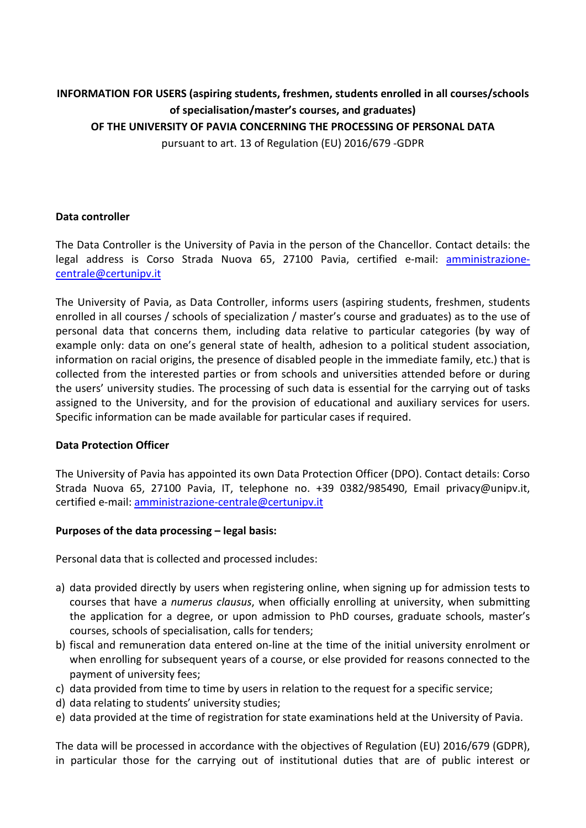# **INFORMATION FOR USERS (aspiring students, freshmen, students enrolled in all courses/schools of specialisation/master's courses, and graduates) OF THE UNIVERSITY OF PAVIA CONCERNING THE PROCESSING OF PERSONAL DATA**

pursuant to art. 13 of Regulation (EU) 2016/679 -GDPR

## **Data controller**

The Data Controller is the University of Pavia in the person of the Chancellor. Contact details: the legal address is Corso Strada Nuova 65, 27100 Pavia, certified e-mail: [amministrazione](mailto:amministrazione-centrale@certunipv.it)[centrale@certunipv.it](mailto:amministrazione-centrale@certunipv.it)

The University of Pavia, as Data Controller, informs users (aspiring students, freshmen, students enrolled in all courses / schools of specialization / master's course and graduates) as to the use of personal data that concerns them, including data relative to particular categories (by way of example only: data on one's general state of health, adhesion to a political student association, information on racial origins, the presence of disabled people in the immediate family, etc.) that is collected from the interested parties or from schools and universities attended before or during the users' university studies. The processing of such data is essential for the carrying out of tasks assigned to the University, and for the provision of educational and auxiliary services for users. Specific information can be made available for particular cases if required.

### **Data Protection Officer**

The University of Pavia has appointed its own Data Protection Officer (DPO). Contact details: Corso Strada Nuova 65, 27100 Pavia, IT, telephone no. +39 0382/985490, Email privacy@unipv.it, certified e-mail: [amministrazione-centrale@certunipv.it](mailto:amministrazione-centrale@certunipv.it)

### **Purposes of the data processing – legal basis:**

Personal data that is collected and processed includes:

- a) data provided directly by users when registering online, when signing up for admission tests to courses that have a *numerus clausus*, when officially enrolling at university, when submitting the application for a degree, or upon admission to PhD courses, graduate schools, master's courses, schools of specialisation, calls for tenders;
- b) fiscal and remuneration data entered on-line at the time of the initial university enrolment or when enrolling for subsequent years of a course, or else provided for reasons connected to the payment of university fees;
- c) data provided from time to time by users in relation to the request for a specific service;
- d) data relating to students' university studies;
- e) data provided at the time of registration for state examinations held at the University of Pavia.

The data will be processed in accordance with the objectives of Regulation (EU) 2016/679 (GDPR), in particular those for the carrying out of institutional duties that are of public interest or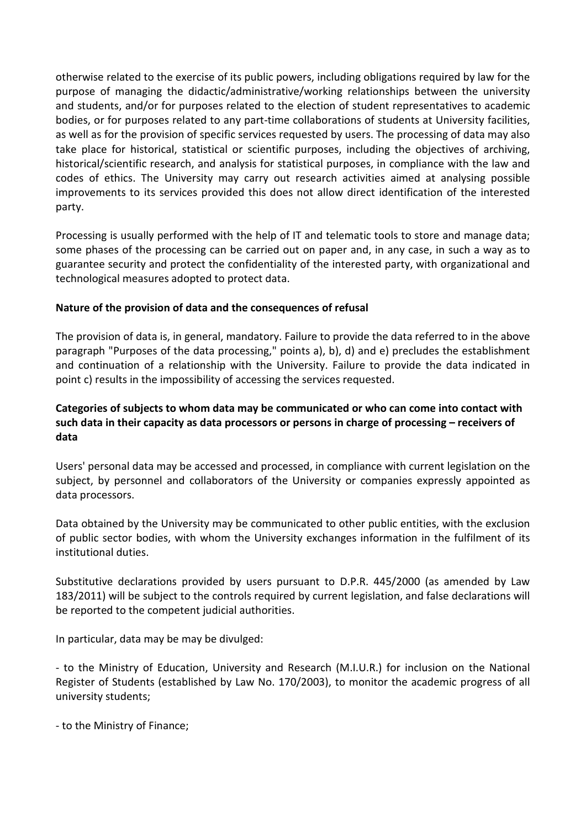otherwise related to the exercise of its public powers, including obligations required by law for the purpose of managing the didactic/administrative/working relationships between the university and students, and/or for purposes related to the election of student representatives to academic bodies, or for purposes related to any part-time collaborations of students at University facilities, as well as for the provision of specific services requested by users. The processing of data may also take place for historical, statistical or scientific purposes, including the objectives of archiving, historical/scientific research, and analysis for statistical purposes, in compliance with the law and codes of ethics. The University may carry out research activities aimed at analysing possible improvements to its services provided this does not allow direct identification of the interested party.

Processing is usually performed with the help of IT and telematic tools to store and manage data; some phases of the processing can be carried out on paper and, in any case, in such a way as to guarantee security and protect the confidentiality of the interested party, with organizational and technological measures adopted to protect data.

## **Nature of the provision of data and the consequences of refusal**

The provision of data is, in general, mandatory. Failure to provide the data referred to in the above paragraph "Purposes of the data processing," points a), b), d) and e) precludes the establishment and continuation of a relationship with the University. Failure to provide the data indicated in point c) results in the impossibility of accessing the services requested.

## **Categories of subjects to whom data may be communicated or who can come into contact with such data in their capacity as data processors or persons in charge of processing – receivers of data**

Users' personal data may be accessed and processed, in compliance with current legislation on the subject, by personnel and collaborators of the University or companies expressly appointed as data processors.

Data obtained by the University may be communicated to other public entities, with the exclusion of public sector bodies, with whom the University exchanges information in the fulfilment of its institutional duties.

Substitutive declarations provided by users pursuant to D.P.R. 445/2000 (as amended by Law 183/2011) will be subject to the controls required by current legislation, and false declarations will be reported to the competent judicial authorities.

In particular, data may be may be divulged:

- to the Ministry of Education, University and Research (M.I.U.R.) for inclusion on the National Register of Students (established by Law No. 170/2003), to monitor the academic progress of all university students;

- to the Ministry of Finance;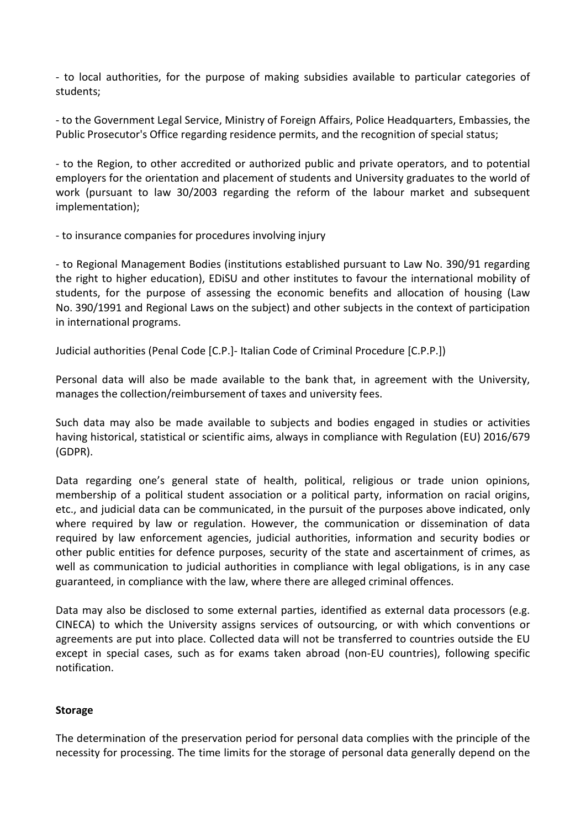- to local authorities, for the purpose of making subsidies available to particular categories of students;

- to the Government Legal Service, Ministry of Foreign Affairs, Police Headquarters, Embassies, the Public Prosecutor's Office regarding residence permits, and the recognition of special status;

- to the Region, to other accredited or authorized public and private operators, and to potential employers for the orientation and placement of students and University graduates to the world of work (pursuant to law 30/2003 regarding the reform of the labour market and subsequent implementation);

- to insurance companies for procedures involving injury

- to Regional Management Bodies (institutions established pursuant to Law No. 390/91 regarding the right to higher education), EDiSU and other institutes to favour the international mobility of students, for the purpose of assessing the economic benefits and allocation of housing (Law No. 390/1991 and Regional Laws on the subject) and other subjects in the context of participation in international programs.

Judicial authorities (Penal Code [C.P.]- Italian Code of Criminal Procedure [C.P.P.])

Personal data will also be made available to the bank that, in agreement with the University, manages the collection/reimbursement of taxes and university fees.

Such data may also be made available to subjects and bodies engaged in studies or activities having historical, statistical or scientific aims, always in compliance with Regulation (EU) 2016/679 (GDPR).

Data regarding one's general state of health, political, religious or trade union opinions, membership of a political student association or a political party, information on racial origins, etc., and judicial data can be communicated, in the pursuit of the purposes above indicated, only where required by law or regulation. However, the communication or dissemination of data required by law enforcement agencies, judicial authorities, information and security bodies or other public entities for defence purposes, security of the state and ascertainment of crimes, as well as communication to judicial authorities in compliance with legal obligations, is in any case guaranteed, in compliance with the law, where there are alleged criminal offences.

Data may also be disclosed to some external parties, identified as external data processors (e.g. CINECA) to which the University assigns services of outsourcing, or with which conventions or agreements are put into place. Collected data will not be transferred to countries outside the EU except in special cases, such as for exams taken abroad (non-EU countries), following specific notification.

### **Storage**

The determination of the preservation period for personal data complies with the principle of the necessity for processing. The time limits for the storage of personal data generally depend on the